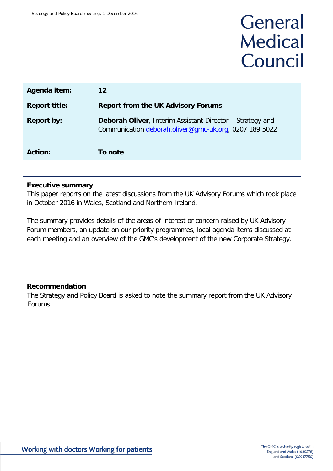# General **Medical** Council

| Agenda item:         | 12                                                                                                                         |
|----------------------|----------------------------------------------------------------------------------------------------------------------------|
| <b>Report title:</b> | <b>Report from the UK Advisory Forums</b>                                                                                  |
| <b>Report by:</b>    | <b>Deborah Oliver, Interim Assistant Director - Strategy and</b><br>Communication deborah.oliver@gmc-uk.org, 0207 189 5022 |
| <b>Action:</b>       | To note                                                                                                                    |

## **Executive summary**

This paper reports on the latest discussions from the UK Advisory Forums which took place in October 2016 in Wales, Scotland and Northern Ireland.

The summary provides details of the areas of interest or concern raised by UK Advisory Forum members, an update on our priority programmes, local agenda items discussed at each meeting and an overview of the GMC's development of the new Corporate Strategy.

# **Recommendation**

The Strategy and Policy Board is asked to note the summary report from the UK Advisory Forums.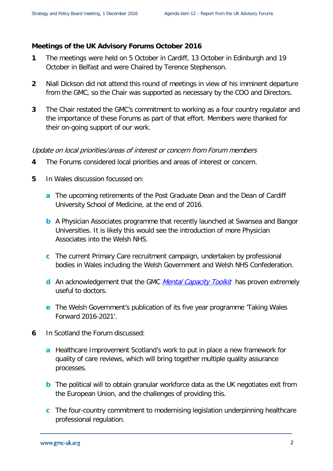#### **Meetings of the UK Advisory Forums October 2016**

- **1** The meetings were held on 5 October in Cardiff, 13 October in Edinburgh and 19 October in Belfast and were Chaired by Terence Stephenson.
- **2** Niall Dickson did not attend this round of meetings in view of his imminent departure from the GMC, so the Chair was supported as necessary by the COO and Directors.
- **3** The Chair restated the GMC's commitment to working as a four country regulator and the importance of these Forums as part of that effort. Members were thanked for their on-going support of our work.

#### Update on local priorities/areas of interest or concern from Forum members

- **4** The Forums considered local priorities and areas of interest or concern.
- **5** In Wales discussion focussed on:
	- **a** The upcoming retirements of the Post Graduate Dean and the Dean of Cardiff University School of Medicine, at the end of 2016.
	- **b** A Physician Associates programme that recently launched at Swansea and Bangor Universities. It is likely this would see the introduction of more Physician Associates into the Welsh NHS.
	- **c** The current Primary Care recruitment campaign, undertaken by professional bodies in Wales including the Welsh Government and Welsh NHS Confederation.
	- **d** An acknowledgement that the GMC *[Mental Capacity Toolkit](http://www.gmc-uk.org/Mental_Capacity_flowchart/)* has proven extremely useful to doctors.
	- **e** The Welsh Government's publication of its five year programme 'Taking Wales Forward 2016-2021'.
- **6** In Scotland the Forum discussed:
	- **a** Healthcare Improvement Scotland's work to put in place a new framework for quality of care reviews, which will bring together multiple quality assurance processes.
	- **b** The political will to obtain granular workforce data as the UK negotiates exit from the European Union, and the challenges of providing this.
	- **c** The four-country commitment to modernising legislation underpinning healthcare professional regulation.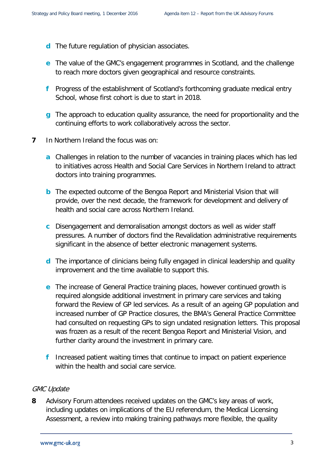- **d** The future regulation of physician associates.
- **e** The value of the GMC's engagement programmes in Scotland, and the challenge to reach more doctors given geographical and resource constraints.
- **f** Progress of the establishment of Scotland's forthcoming graduate medical entry School, whose first cohort is due to start in 2018.
- **g** The approach to education quality assurance, the need for proportionality and the continuing efforts to work collaboratively across the sector.
- **7** In Northern Ireland the focus was on:
	- **a** Challenges in relation to the number of vacancies in training places which has led to initiatives across Health and Social Care Services in Northern Ireland to attract doctors into training programmes.
	- **b** The expected outcome of the Bengoa Report and Ministerial Vision that will provide, over the next decade, the framework for development and delivery of health and social care across Northern Ireland.
	- **c** Disengagement and demoralisation amongst doctors as well as wider staff pressures. A number of doctors find the Revalidation administrative requirements significant in the absence of better electronic management systems.
	- **d** The importance of clinicians being fully engaged in clinical leadership and quality improvement and the time available to support this.
	- **e** The increase of General Practice training places, however continued growth is required alongside additional investment in primary care services and taking forward the Review of GP led services. As a result of an ageing GP population and increased number of GP Practice closures, the BMA's General Practice Committee had consulted on requesting GPs to sign undated resignation letters. This proposal was frozen as a result of the recent Bengoa Report and Ministerial Vision, and further clarity around the investment in primary care.
	- **f** Increased patient waiting times that continue to impact on patient experience within the health and social care service.

#### GMC Update

**8** Advisory Forum attendees received updates on the GMC's key areas of work, including updates on implications of the EU referendum, the Medical Licensing Assessment, a review into making training pathways more flexible, the quality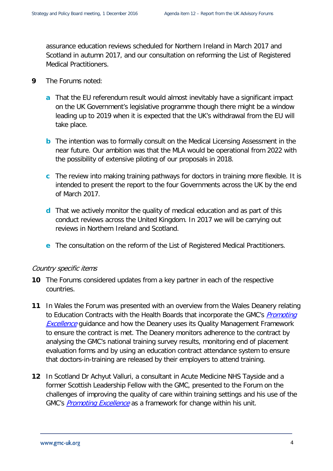assurance education reviews scheduled for Northern Ireland in March 2017 and Scotland in autumn 2017, and our consultation on reforming the List of Registered Medical Practitioners.

- **9** The Forums noted:
	- **a** That the EU referendum result would almost inevitably have a significant impact on the UK Government's legislative programme though there might be a window leading up to 2019 when it is expected that the UK's withdrawal from the EU will take place.
	- **b** The intention was to formally consult on the Medical Licensing Assessment in the near future. Our ambition was that the MLA would be operational from 2022 with the possibility of extensive piloting of our proposals in 2018.
	- **c** The review into making training pathways for doctors in training more flexible. It is intended to present the report to the four Governments across the UK by the end of March 2017.
	- **d** That we actively monitor the quality of medical education and as part of this conduct reviews across the United Kingdom. In 2017 we will be carrying out reviews in Northern Ireland and Scotland.
	- **e** The consultation on the reform of the List of Registered Medical Practitioners.

#### Country specific items

- **10** The Forums considered updates from a key partner in each of the respective countries.
- **11** In Wales the Forum was presented with an overview from the Wales Deanery relating to Education Contracts with the Health Boards that incorporate the GMC's *Promoting* **[Excellence](http://www.gmc-uk.org/Promoting_excellence_standards_for_medical_education_and_training_0715.pdf_61939165.pdf)** guidance and how the Deanery uses its Quality Management Framework to ensure the contract is met. The Deanery monitors adherence to the contract by analysing the GMC's national training survey results, monitoring end of placement evaluation forms and by using an education contract attendance system to ensure that doctors-in-training are released by their employers to attend training.
- **12** In Scotland Dr Achyut Valluri, a consultant in Acute Medicine NHS Tayside and a former Scottish Leadership Fellow with the GMC, presented to the Forum on the challenges of improving the quality of care within training settings and his use of the GMC's **[Promoting Excellence](http://www.gmc-uk.org/Promoting_excellence_standards_for_medical_education_and_training_0715.pdf_61939165.pdf)** as a framework for change within his unit.